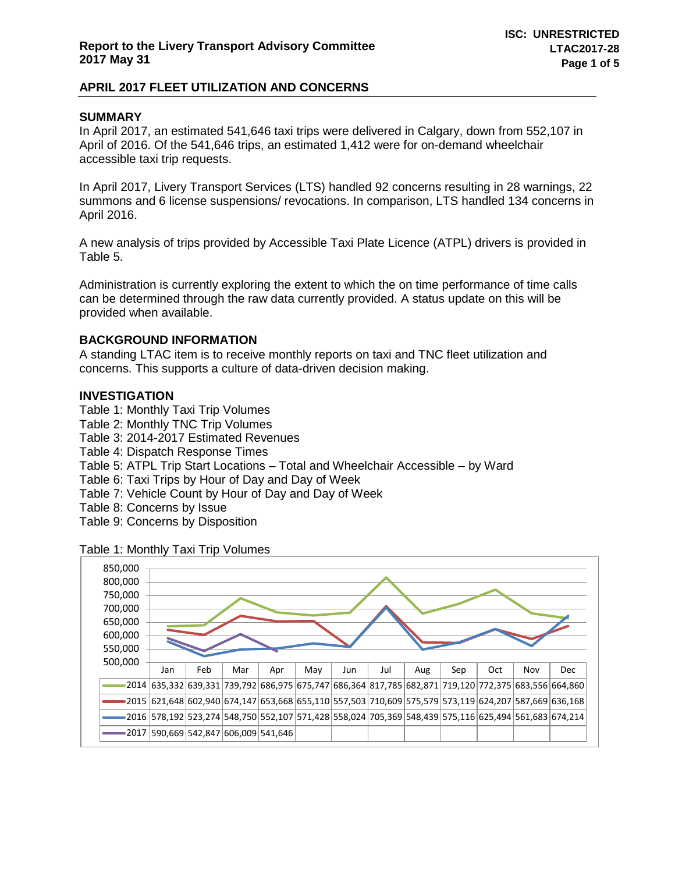## **SUMMARY**

In April 2017, an estimated 541,646 taxi trips were delivered in Calgary, down from 552,107 in April of 2016. Of the 541,646 trips, an estimated 1,412 were for on-demand wheelchair accessible taxi trip requests.

In April 2017, Livery Transport Services (LTS) handled 92 concerns resulting in 28 warnings, 22 summons and 6 license suspensions/ revocations. In comparison, LTS handled 134 concerns in April 2016.

A new analysis of trips provided by Accessible Taxi Plate Licence (ATPL) drivers is provided in Table 5.

Administration is currently exploring the extent to which the on time performance of time calls can be determined through the raw data currently provided. A status update on this will be provided when available.

## **BACKGROUND INFORMATION**

A standing LTAC item is to receive monthly reports on taxi and TNC fleet utilization and concerns. This supports a culture of data-driven decision making.

## **INVESTIGATION**

Table 1: Monthly Taxi Trip Volumes

- Table 2: Monthly TNC Trip Volumes
- Table 3: 2014-2017 Estimated Revenues
- Table 4: Dispatch Response Times
- Table 5: ATPL Trip Start Locations Total and Wheelchair Accessible by Ward
- Table 6: Taxi Trips by Hour of Day and Day of Week
- Table 7: Vehicle Count by Hour of Day and Day of Week
- Table 8: Concerns by Issue
- Table 9: Concerns by Disposition

Table 1: Monthly Taxi Trip Volumes

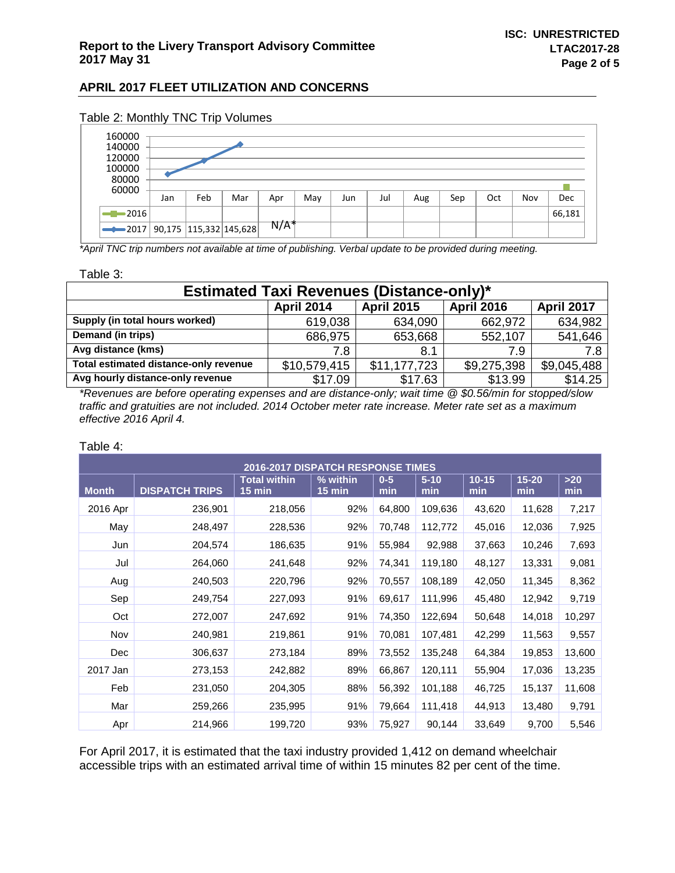| 160000<br>140000<br>120000<br>100000<br>80000<br>60000 |     |     |                            |                  |     |     |     |     |     |     |     |        |  |  |  |  |
|--------------------------------------------------------|-----|-----|----------------------------|------------------|-----|-----|-----|-----|-----|-----|-----|--------|--|--|--|--|
|                                                        | Jan | Feb | Mar                        | Apr              | May | Jun | Jul | Aug | Sep | Oct | Nov | Dec    |  |  |  |  |
| $-2016$                                                |     |     |                            |                  |     |     |     |     |     |     |     | 66,181 |  |  |  |  |
| $\rightarrow 2017$                                     |     |     | 90,175   115,332   145,628 | N/A <sup>*</sup> |     |     |     |     |     |     |     |        |  |  |  |  |

## Table 2: Monthly TNC Trip Volumes

*\*April TNC trip numbers not available at time of publishing. Verbal update to be provided during meeting.*

Table 3:

| <b>Estimated Taxi Revenues (Distance-only)*</b>                                  |              |              |             |             |  |  |  |  |  |  |  |
|----------------------------------------------------------------------------------|--------------|--------------|-------------|-------------|--|--|--|--|--|--|--|
| <b>April 2015</b><br><b>April 2017</b><br><b>April 2014</b><br><b>April 2016</b> |              |              |             |             |  |  |  |  |  |  |  |
| Supply (in total hours worked)                                                   | 619,038      | 634,090      | 662,972     | 634,982     |  |  |  |  |  |  |  |
| Demand (in trips)                                                                | 686,975      | 653,668      | 552,107     | 541,646     |  |  |  |  |  |  |  |
| Avg distance (kms)                                                               | 7.8          | 8.1          | 7.9         | 7.8         |  |  |  |  |  |  |  |
| Total estimated distance-only revenue                                            | \$10,579,415 | \$11,177,723 | \$9,275,398 | \$9,045,488 |  |  |  |  |  |  |  |
| Avg hourly distance-only revenue                                                 | \$17.09      | \$17.63      | \$13.99     | \$14.25     |  |  |  |  |  |  |  |

*\*Revenues are before operating expenses and are distance-only; wait time @ \$0.56/min for stopped/slow traffic and gratuities are not included. 2014 October meter rate increase. Meter rate set as a maximum effective 2016 April 4.*

#### Table 4:

| <b>2016-2017 DISPATCH RESPONSE TIMES</b> |                       |                                 |                      |              |                 |                  |                  |              |  |  |  |
|------------------------------------------|-----------------------|---------------------------------|----------------------|--------------|-----------------|------------------|------------------|--------------|--|--|--|
| <b>Month</b>                             | <b>DISPATCH TRIPS</b> | <b>Total within</b><br>$15$ min | % within<br>$15$ min | $0-5$<br>min | $5 - 10$<br>min | $10 - 15$<br>min | $15 - 20$<br>min | $>20$<br>min |  |  |  |
| 2016 Apr                                 | 236,901               | 218,056                         | 92%                  | 64,800       | 109,636         | 43,620           | 11,628           | 7,217        |  |  |  |
| May                                      | 248,497               | 228,536                         | 92%                  | 70,748       | 112,772         | 45,016           | 12,036           | 7,925        |  |  |  |
| Jun                                      | 204,574               | 186,635                         | 91%                  | 55,984       | 92,988          | 37,663           | 10,246           | 7,693        |  |  |  |
| Jul                                      | 264,060               | 241,648                         | 92%                  | 74,341       | 119,180         | 48,127           | 13,331           | 9,081        |  |  |  |
| Aug                                      | 240,503               | 220,796                         | 92%                  | 70,557       | 108,189         | 42,050           | 11,345           | 8,362        |  |  |  |
| Sep                                      | 249,754               | 227,093                         | 91%                  | 69,617       | 111,996         | 45,480           | 12,942           | 9,719        |  |  |  |
| Oct                                      | 272,007               | 247,692                         | 91%                  | 74,350       | 122,694         | 50,648           | 14,018           | 10,297       |  |  |  |
| Nov                                      | 240,981               | 219,861                         | 91%                  | 70,081       | 107,481         | 42,299           | 11,563           | 9,557        |  |  |  |
| Dec                                      | 306,637               | 273,184                         | 89%                  | 73,552       | 135,248         | 64,384           | 19,853           | 13,600       |  |  |  |
| 2017 Jan                                 | 273,153               | 242,882                         | 89%                  | 66,867       | 120,111         | 55,904           | 17,036           | 13,235       |  |  |  |
| Feb                                      | 231,050               | 204,305                         | 88%                  | 56,392       | 101,188         | 46,725           | 15,137           | 11,608       |  |  |  |
| Mar                                      | 259,266               | 235,995                         | 91%                  | 79,664       | 111,418         | 44,913           | 13,480           | 9,791        |  |  |  |
| Apr                                      | 214,966               | 199,720                         | 93%                  | 75,927       | 90,144          | 33,649           | 9,700            | 5,546        |  |  |  |

For April 2017, it is estimated that the taxi industry provided 1,412 on demand wheelchair accessible trips with an estimated arrival time of within 15 minutes 82 per cent of the time.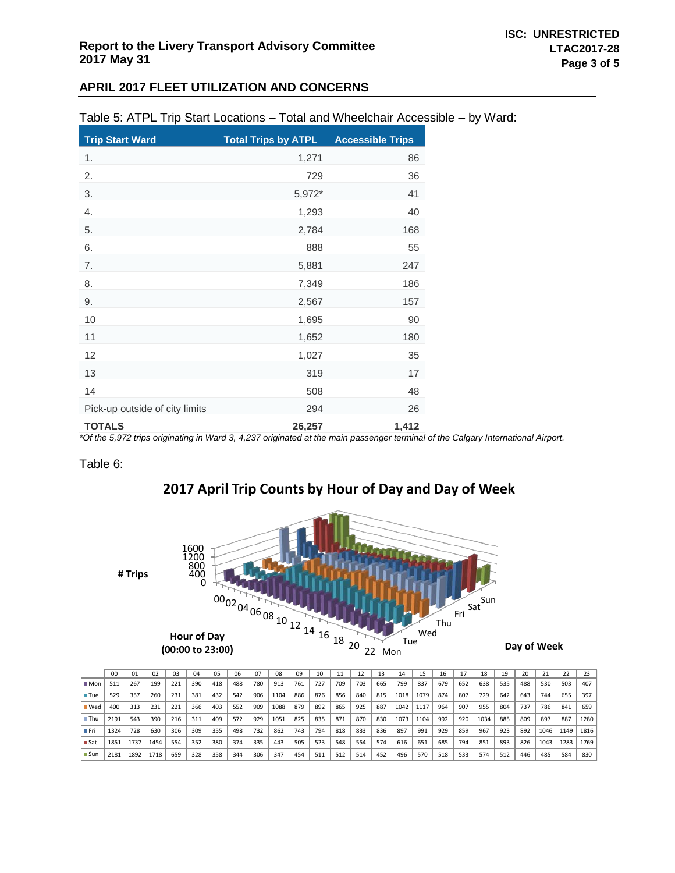| Table 5: ATPL Trip Start Locations – Total and Wheelchair Accessible – by Ward: |  |
|---------------------------------------------------------------------------------|--|
|---------------------------------------------------------------------------------|--|

| <b>Trip Start Ward</b>                                                                                                                                                                | <b>Total Trips by ATPL</b> | <b>Accessible Trips</b> |
|---------------------------------------------------------------------------------------------------------------------------------------------------------------------------------------|----------------------------|-------------------------|
| 1.                                                                                                                                                                                    | 1,271                      | 86                      |
| 2.                                                                                                                                                                                    | 729                        | 36                      |
| 3.                                                                                                                                                                                    | 5,972*                     | 41                      |
| 4.                                                                                                                                                                                    | 1,293                      | 40                      |
| 5.                                                                                                                                                                                    | 2,784                      | 168                     |
| 6.                                                                                                                                                                                    | 888                        | 55                      |
| 7.                                                                                                                                                                                    | 5,881                      | 247                     |
| 8.                                                                                                                                                                                    | 7,349                      | 186                     |
| 9.                                                                                                                                                                                    | 2,567                      | 157                     |
| 10                                                                                                                                                                                    | 1,695                      | 90                      |
| 11                                                                                                                                                                                    | 1,652                      | 180                     |
| 12                                                                                                                                                                                    | 1,027                      | 35                      |
| 13                                                                                                                                                                                    | 319                        | 17                      |
| 14                                                                                                                                                                                    | 508                        | 48                      |
| Pick-up outside of city limits                                                                                                                                                        | 294                        | 26                      |
| <b>TOTALS</b><br>$*$ $\alpha$ the $\pi$ $\alpha$ $\pi$ $\alpha$ then interactes the $\alpha$ is $M$ and $\alpha$ $\alpha$ $\alpha$ $\alpha$ $\pi$ is the state of $\alpha$ the second | 26,257                     | 1,412                   |

*\*Of the 5,972 trips originating in Ward 3, 4,237 originated at the main passenger terminal of the Calgary International Airport.*

#### Table 6:

## **2017 April Trip Counts by Hour of Day and Day of Week**



|                    | 0 <sup>0</sup> | 01   | 02   | 0 <sup>3</sup> | 04  | 05  | 06  | 07  | 08   | 09  | 10  |     |     |     | 14   | 15   | 16  |     | 18   | 19  | 20  | 21   | 22   | 23   |
|--------------------|----------------|------|------|----------------|-----|-----|-----|-----|------|-----|-----|-----|-----|-----|------|------|-----|-----|------|-----|-----|------|------|------|
| $M$ Mon            | 511            | 267  | 199  | 221            | 390 | 418 | 488 | 780 | 913  | 761 | 727 | 709 | 703 | 665 | 799  | 837  | 679 | 652 | 638  | 535 | 488 | 530  | 503  | 407  |
| <b>■ Tue</b>       | 529            | 357  | 260  | 231            | 381 | 432 | 542 | 906 | 1104 | 886 | 876 | 856 | 840 | 815 | 1018 | 1079 | 874 | 807 | 729  | 642 | 643 | 744  | 655  | 397  |
| $\blacksquare$ Wed | 400            | 313  | 231  | 221            | 366 | 403 | 552 | 909 | 1088 | 879 | 892 | 865 | 925 | 887 | 1042 | 1117 | 964 | 907 | 955  | 804 | 737 | 786  | 841  | 659  |
| ∎ Thu              | 2191           | 543  | 390  | 216            | 311 | 409 | 572 | 929 | 1051 | 825 | 835 | 871 | 870 | 830 | 1073 | 1104 | 992 | 920 | 1034 | 885 | 809 | 897  | 887  | 1280 |
| ∎ Fri              | 1324           | 728  | 630  | 306            | 309 | 355 | 498 | 732 | 862  | 743 | 794 | 818 | 833 | 836 | 897  | 991  | 929 | 859 | 967  | 923 | 892 | 1046 | 1149 | 1816 |
| ∎ Sat              | 1851           | 1737 | 1454 | 554            | 352 | 380 | 374 | 335 | 443  | 505 | 523 | 548 | 554 | 574 | 616  | 651  | 685 | 794 | 851  | 893 | 826 | 1043 | 1283 | 1769 |
| ∎ Sun              | 2181           | 1892 | 1718 | 659            | 328 | 358 | 344 | 306 | 347  | 454 | 511 | 512 | 514 | 452 | 496  | 570  | 518 | 533 | 574  | 512 | 446 | 485  | 584  | 830  |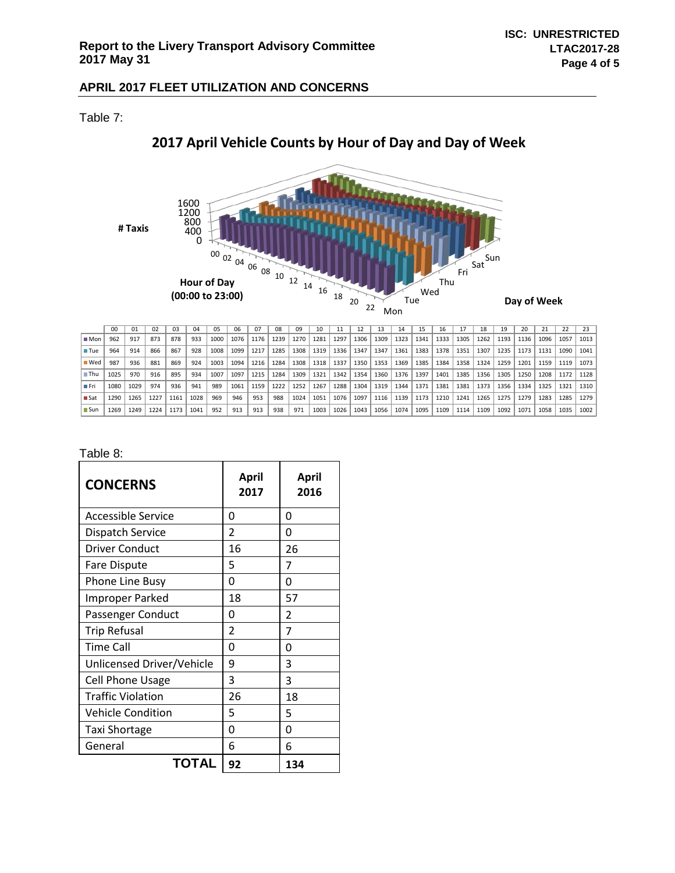Table 7:



# **2017 April Vehicle Counts by Hour of Day and Day of Week**

|                    | 00   | 01   | 02   | 03   | 04   | 05   | 06   | 07   | 08   | 09   | 10   |      | 12   | 13   | 14   | 15   | 16   |      | 18   | 19   | 20   |      | 22   | 23   |
|--------------------|------|------|------|------|------|------|------|------|------|------|------|------|------|------|------|------|------|------|------|------|------|------|------|------|
| $\blacksquare$ Mon | 962  | 917  | 873  | 878  | 933  | 1000 | 1076 | 1176 | 1239 | 1270 | 1281 | 1297 | 1306 | 1309 | 1323 | 1341 | 1333 | 1305 | 1262 | 1193 | 1136 | 1096 | 1057 | 1013 |
| <b>■ Tue</b>       | 964  | 914  | 866  | 867  | 928  | 1008 | 1099 | 1217 | 1285 | 1308 | 1319 | 1336 | 1347 | 1347 | 1361 | 1383 | 1378 | 1351 | 1307 | 1235 | 1173 | 1131 | 1090 | 1041 |
| ■ Wed              | 987  | 936  | 881  | 869  | 924  | 1003 | 1094 | 1216 | 1284 | 1308 | 1318 | 1337 | 1350 | 1353 | 1369 | 1385 | 1384 | 1358 | 1324 | 1259 | 1201 | 1159 | 1119 | 1073 |
| $\blacksquare$ Thu | 1025 | 970  | 916  | 895  | 934  | 1007 | 1097 | 1215 | 1284 | 1309 | 1321 | 1342 | 1354 | 1360 | 1376 | 1397 | 1401 | 1385 | 1356 | 1305 | 1250 | 1208 | 1172 | 1128 |
| ∎ Fri              | 1080 | 1029 | 974  | 936  | 941  | 989  | 1061 | 1159 | 1222 | 1252 | 1267 | 1288 | 1304 | 1319 | 1344 | 1371 | 1381 | 1381 | 1373 | 1356 | 1334 | 1325 | 1321 | 1310 |
| ∎ Sat              | 1290 | 1265 | 1227 | 1161 | 1028 | 969  | 946  | 953  | 988  | 1024 | 1051 | 1076 | 1097 | 1116 | 1139 | 1173 | 1210 | 1241 | 1265 | 1275 | 1279 | 1283 | 1285 | 1279 |
| ∎Sun               | 1269 | 1249 | 1224 | 1173 | 1041 | 952  | 913  | 913  | 938  | 971  | 1003 | 1026 | 1043 | 1056 | 1074 | 1095 | 1109 | 1114 | 1109 | 1092 | 1071 | 1058 | 1035 | 1002 |

## Table 8:

| <b>CONCERNS</b>           | April<br>2017  | April<br>2016 |  |  |  |  |
|---------------------------|----------------|---------------|--|--|--|--|
| Accessible Service        | 0              | 0             |  |  |  |  |
| Dispatch Service          | 2              | O             |  |  |  |  |
| <b>Driver Conduct</b>     | 16             | 26            |  |  |  |  |
| Fare Dispute              | 5              | 7             |  |  |  |  |
| Phone Line Busy           | 0              | ი             |  |  |  |  |
| <b>Improper Parked</b>    | 18             | 57            |  |  |  |  |
| Passenger Conduct         | 0              | 2             |  |  |  |  |
| <b>Trip Refusal</b>       | $\overline{2}$ | 7             |  |  |  |  |
| <b>Time Call</b>          | 0              | ი             |  |  |  |  |
| Unlicensed Driver/Vehicle | 9              | 3             |  |  |  |  |
| <b>Cell Phone Usage</b>   | 3              | 3             |  |  |  |  |
| <b>Traffic Violation</b>  | 26             | 18            |  |  |  |  |
| <b>Vehicle Condition</b>  | 5              | 5             |  |  |  |  |
| Taxi Shortage             | 0              | ი             |  |  |  |  |
| General                   | 6              | 6             |  |  |  |  |
| TOTAL                     | 92             | 134           |  |  |  |  |